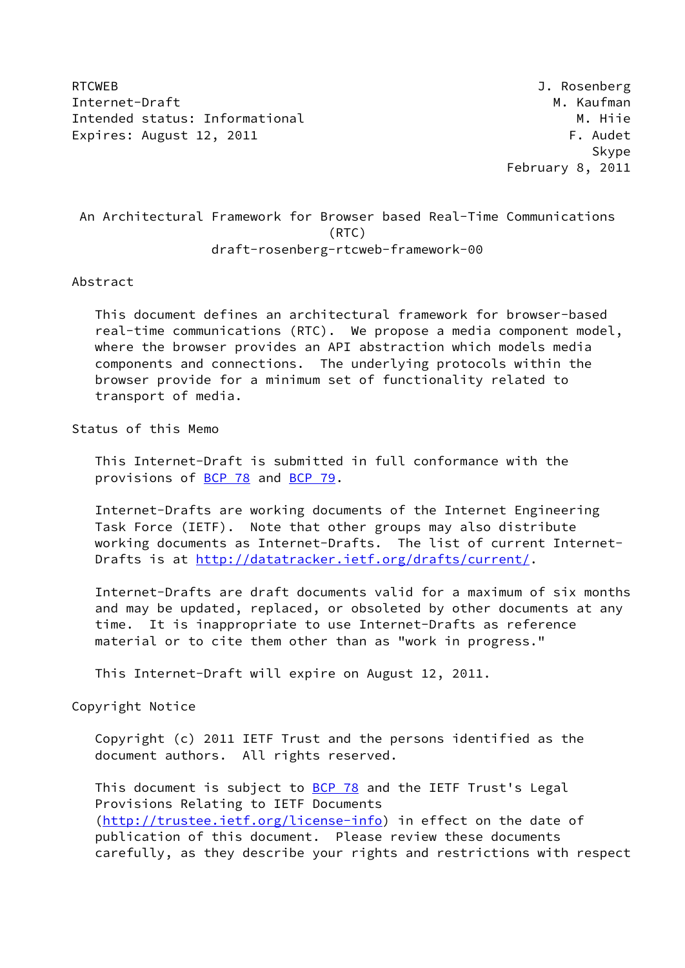RTCWEB J. Rosenberg Internet-Draft M. Kaufman M. Kaufman M. Kaufman M. Kaufman M. Kaufman M. Kaufman M. Kaufman M. Kaufman M. Kaufman M. Kaufman M. Kaufman M. Kaufman M. Kaufman M. Kaufman M. Kaufman M. Kaufman M. Kaufman M. Kaufman M. Kaufma Intended status: Informational M. Hije Expires: August 12, 2011 **F. Audet** 

en de statistische Skype in der Skype in der Skype in der Skype in der Skype in der Skype in der Skype in der February 8, 2011

# An Architectural Framework for Browser based Real-Time Communications (RTC) draft-rosenberg-rtcweb-framework-00

### Abstract

 This document defines an architectural framework for browser-based real-time communications (RTC). We propose a media component model, where the browser provides an API abstraction which models media components and connections. The underlying protocols within the browser provide for a minimum set of functionality related to transport of media.

# Status of this Memo

 This Internet-Draft is submitted in full conformance with the provisions of [BCP 78](https://datatracker.ietf.org/doc/pdf/bcp78) and [BCP 79](https://datatracker.ietf.org/doc/pdf/bcp79).

 Internet-Drafts are working documents of the Internet Engineering Task Force (IETF). Note that other groups may also distribute working documents as Internet-Drafts. The list of current Internet- Drafts is at<http://datatracker.ietf.org/drafts/current/>.

 Internet-Drafts are draft documents valid for a maximum of six months and may be updated, replaced, or obsoleted by other documents at any time. It is inappropriate to use Internet-Drafts as reference material or to cite them other than as "work in progress."

This Internet-Draft will expire on August 12, 2011.

### Copyright Notice

 Copyright (c) 2011 IETF Trust and the persons identified as the document authors. All rights reserved.

This document is subject to **[BCP 78](https://datatracker.ietf.org/doc/pdf/bcp78)** and the IETF Trust's Legal Provisions Relating to IETF Documents [\(http://trustee.ietf.org/license-info](http://trustee.ietf.org/license-info)) in effect on the date of publication of this document. Please review these documents carefully, as they describe your rights and restrictions with respect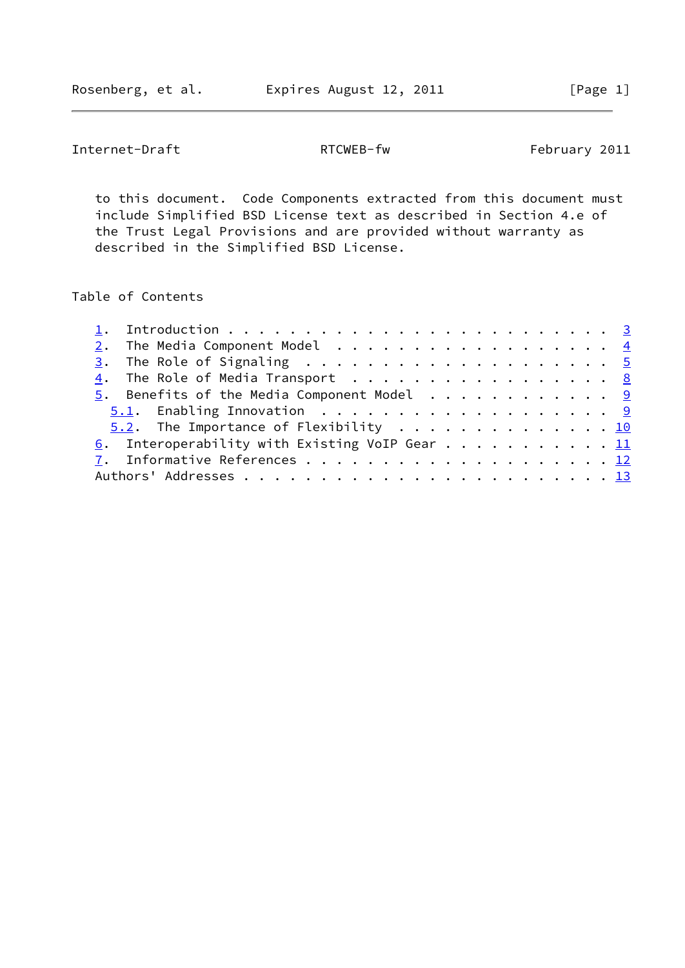Rosenberg, et al. **Expires August 12, 2011** [Page 1]

Internet-Draft RTCWEB-fw RTCWEB-fw February 2011

 to this document. Code Components extracted from this document must include Simplified BSD License text as described in Section 4.e of the Trust Legal Provisions and are provided without warranty as described in the Simplified BSD License.

# Table of Contents

|  | 2. The Media Component Model $\frac{4}{5}$<br>$\underline{4}$ . The Role of Media Transport 8<br>5.2. The Importance of Flexibility 10<br>6. Interoperability with Existing VoIP Gear 11 |
|--|------------------------------------------------------------------------------------------------------------------------------------------------------------------------------------------|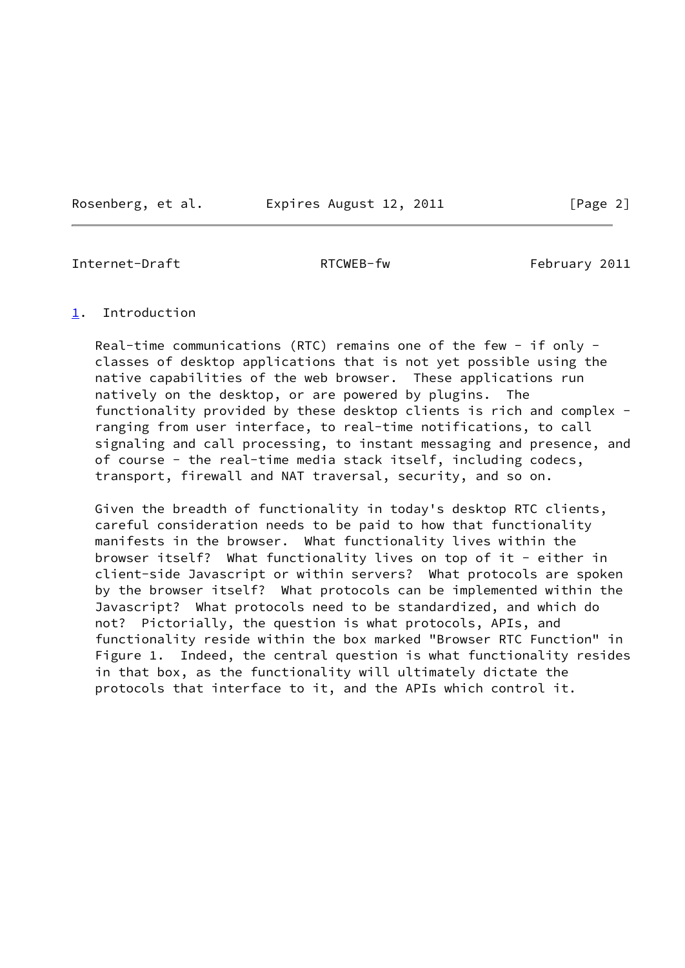Rosenberg, et al. Expires August 12, 2011 [Page 2]

<span id="page-2-1"></span>Internet-Draft RTCWEB-fw February 2011

### <span id="page-2-0"></span>[1](#page-2-0). Introduction

Real-time communications (RTC) remains one of the few - if only classes of desktop applications that is not yet possible using the native capabilities of the web browser. These applications run natively on the desktop, or are powered by plugins. The functionality provided by these desktop clients is rich and complex ranging from user interface, to real-time notifications, to call signaling and call processing, to instant messaging and presence, and of course - the real-time media stack itself, including codecs, transport, firewall and NAT traversal, security, and so on.

 Given the breadth of functionality in today's desktop RTC clients, careful consideration needs to be paid to how that functionality manifests in the browser. What functionality lives within the browser itself? What functionality lives on top of it - either in client-side Javascript or within servers? What protocols are spoken by the browser itself? What protocols can be implemented within the Javascript? What protocols need to be standardized, and which do not? Pictorially, the question is what protocols, APIs, and functionality reside within the box marked "Browser RTC Function" in Figure 1. Indeed, the central question is what functionality resides in that box, as the functionality will ultimately dictate the protocols that interface to it, and the APIs which control it.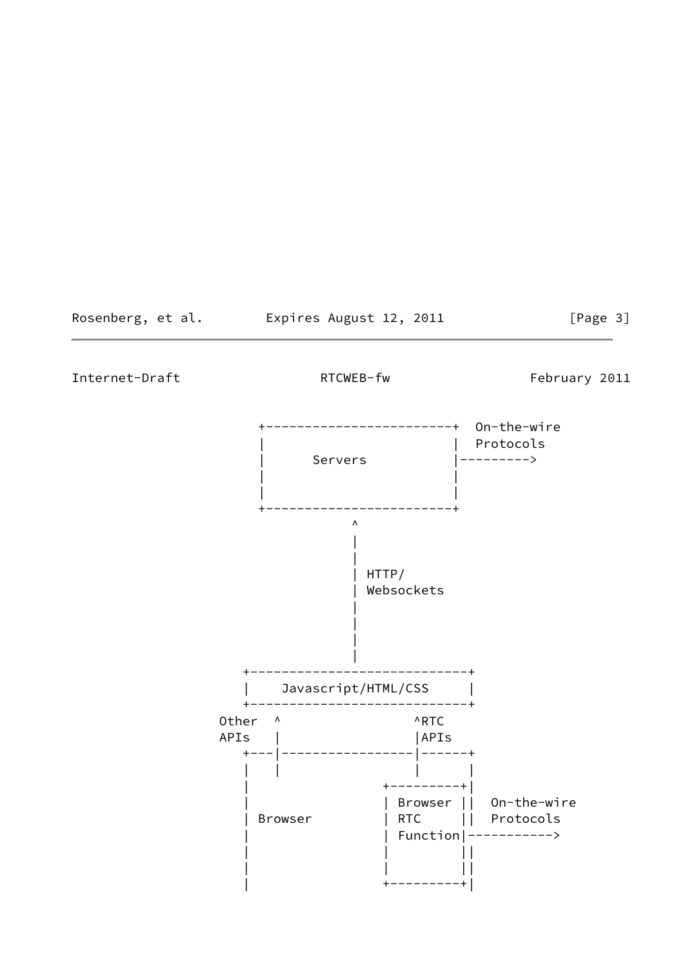Rosenberg, et al. Expires August 12, 2011 [Page 3]

<span id="page-3-0"></span>Internet-Draft RTCWEB-fw RTCWEB-fw February 2011

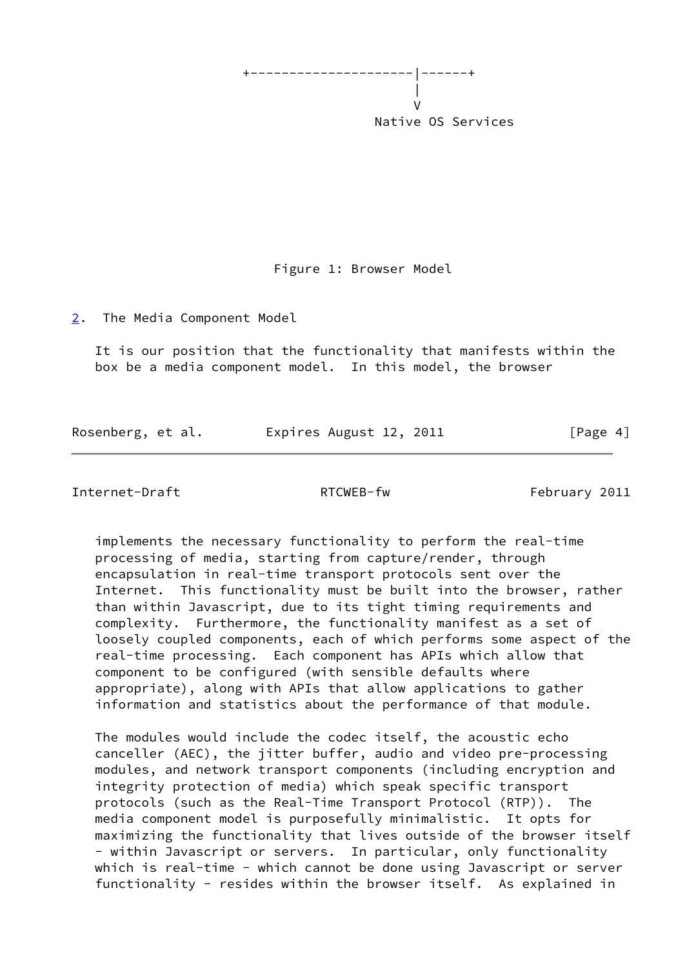

Figure 1: Browser Model

<span id="page-4-0"></span>[2](#page-4-0). The Media Component Model

 It is our position that the functionality that manifests within the box be a media component model. In this model, the browser

Rosenberg, et al. Expires August 12, 2011 [Page 4]

<span id="page-4-1"></span>Internet-Draft RTCWEB-fw RTCWEB-fw February 2011

 implements the necessary functionality to perform the real-time processing of media, starting from capture/render, through encapsulation in real-time transport protocols sent over the Internet. This functionality must be built into the browser, rather than within Javascript, due to its tight timing requirements and complexity. Furthermore, the functionality manifest as a set of loosely coupled components, each of which performs some aspect of the real-time processing. Each component has APIs which allow that component to be configured (with sensible defaults where appropriate), along with APIs that allow applications to gather information and statistics about the performance of that module.

 The modules would include the codec itself, the acoustic echo canceller (AEC), the jitter buffer, audio and video pre-processing modules, and network transport components (including encryption and integrity protection of media) which speak specific transport protocols (such as the Real-Time Transport Protocol (RTP)). The media component model is purposefully minimalistic. It opts for maximizing the functionality that lives outside of the browser itself - within Javascript or servers. In particular, only functionality which is real-time - which cannot be done using Javascript or server functionality - resides within the browser itself. As explained in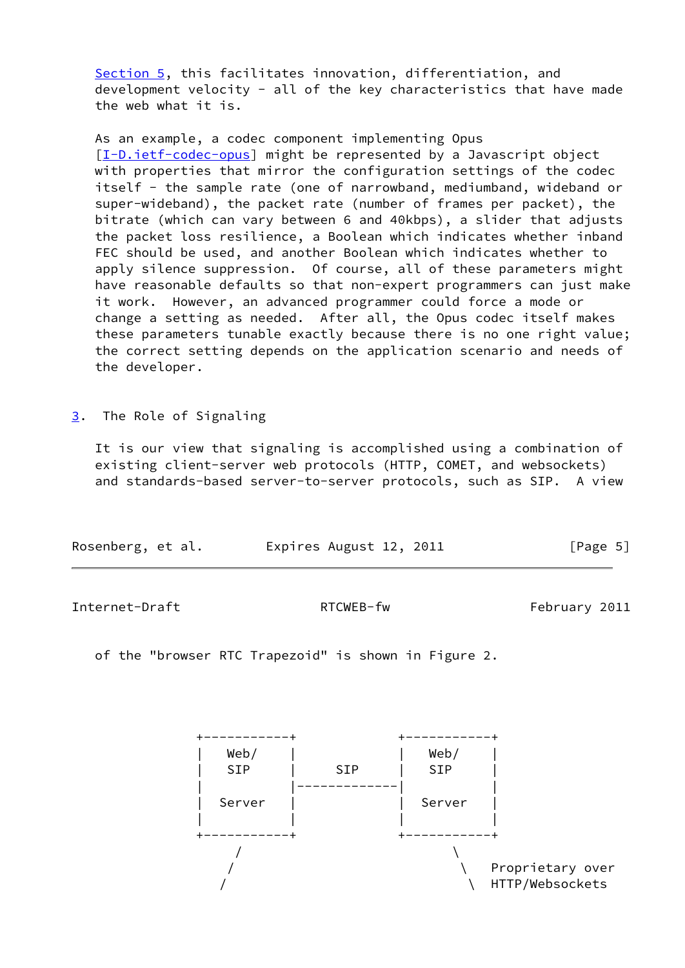[Section 5](#page-9-0), this facilitates innovation, differentiation, and development velocity - all of the key characteristics that have made the web what it is.

 As an example, a codec component implementing Opus [\[I-D.ietf-codec-opus](#page-13-2)] might be represented by a Javascript object with properties that mirror the configuration settings of the codec itself - the sample rate (one of narrowband, mediumband, wideband or super-wideband), the packet rate (number of frames per packet), the bitrate (which can vary between 6 and 40kbps), a slider that adjusts the packet loss resilience, a Boolean which indicates whether inband FEC should be used, and another Boolean which indicates whether to apply silence suppression. Of course, all of these parameters might have reasonable defaults so that non-expert programmers can just make it work. However, an advanced programmer could force a mode or change a setting as needed. After all, the Opus codec itself makes these parameters tunable exactly because there is no one right value; the correct setting depends on the application scenario and needs of the developer.

<span id="page-5-0"></span>[3](#page-5-0). The Role of Signaling

 It is our view that signaling is accomplished using a combination of existing client-server web protocols (HTTP, COMET, and websockets) and standards-based server-to-server protocols, such as SIP. A view

| Rosenberg, et al. | Expires August 12, 2011 | [Page 5] |
|-------------------|-------------------------|----------|
|                   |                         |          |

Internet-Draft RTCWEB-fw February 2011

of the "browser RTC Trapezoid" is shown in Figure 2.

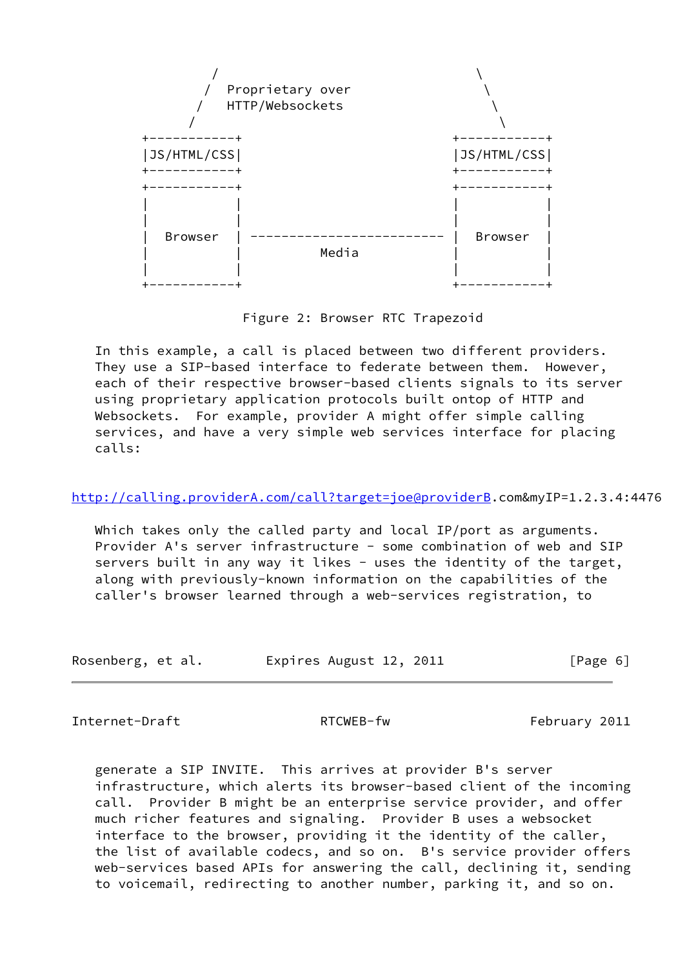

Figure 2: Browser RTC Trapezoid

 In this example, a call is placed between two different providers. They use a SIP-based interface to federate between them. However, each of their respective browser-based clients signals to its server using proprietary application protocols built ontop of HTTP and Websockets. For example, provider A might offer simple calling services, and have a very simple web services interface for placing calls:

# <http://calling.providerA.com/call?target=joe@providerB>.com&myIP=1.2.3.4:4476

 Which takes only the called party and local IP/port as arguments. Provider A's server infrastructure - some combination of web and SIP servers built in any way it likes - uses the identity of the target, along with previously-known information on the capabilities of the caller's browser learned through a web-services registration, to

| Rosenberg, et al. | Expires August 12, 2011 | [Page 6] |
|-------------------|-------------------------|----------|
|-------------------|-------------------------|----------|

Internet-Draft RTCWEB-fw February 2011

 generate a SIP INVITE. This arrives at provider B's server infrastructure, which alerts its browser-based client of the incoming call. Provider B might be an enterprise service provider, and offer much richer features and signaling. Provider B uses a websocket interface to the browser, providing it the identity of the caller, the list of available codecs, and so on. B's service provider offers web-services based APIs for answering the call, declining it, sending to voicemail, redirecting to another number, parking it, and so on.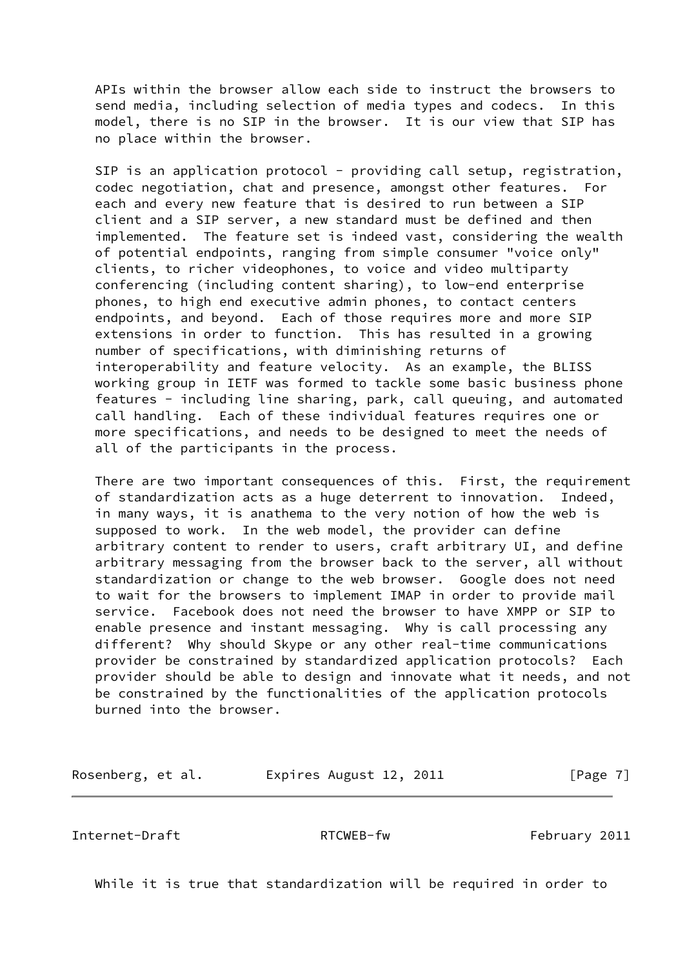APIs within the browser allow each side to instruct the browsers to send media, including selection of media types and codecs. In this model, there is no SIP in the browser. It is our view that SIP has no place within the browser.

SIP is an application protocol - providing call setup, registration, codec negotiation, chat and presence, amongst other features. For each and every new feature that is desired to run between a SIP client and a SIP server, a new standard must be defined and then implemented. The feature set is indeed vast, considering the wealth of potential endpoints, ranging from simple consumer "voice only" clients, to richer videophones, to voice and video multiparty conferencing (including content sharing), to low-end enterprise phones, to high end executive admin phones, to contact centers endpoints, and beyond. Each of those requires more and more SIP extensions in order to function. This has resulted in a growing number of specifications, with diminishing returns of interoperability and feature velocity. As an example, the BLISS working group in IETF was formed to tackle some basic business phone features - including line sharing, park, call queuing, and automated call handling. Each of these individual features requires one or more specifications, and needs to be designed to meet the needs of all of the participants in the process.

 There are two important consequences of this. First, the requirement of standardization acts as a huge deterrent to innovation. Indeed, in many ways, it is anathema to the very notion of how the web is supposed to work. In the web model, the provider can define arbitrary content to render to users, craft arbitrary UI, and define arbitrary messaging from the browser back to the server, all without standardization or change to the web browser. Google does not need to wait for the browsers to implement IMAP in order to provide mail service. Facebook does not need the browser to have XMPP or SIP to enable presence and instant messaging. Why is call processing any different? Why should Skype or any other real-time communications provider be constrained by standardized application protocols? Each provider should be able to design and innovate what it needs, and not be constrained by the functionalities of the application protocols burned into the browser.

Rosenberg, et al. Expires August 12, 2011 [Page 7]

<span id="page-7-0"></span>Internet-Draft RTCWEB-fw February 2011

While it is true that standardization will be required in order to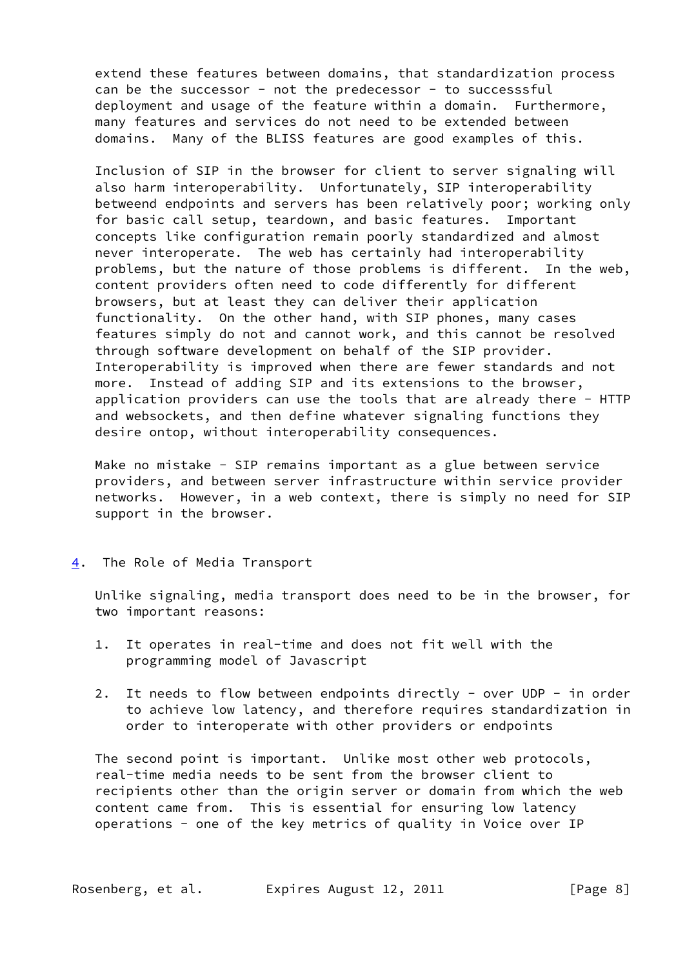extend these features between domains, that standardization process can be the successor - not the predecessor - to successsful deployment and usage of the feature within a domain. Furthermore, many features and services do not need to be extended between domains. Many of the BLISS features are good examples of this.

 Inclusion of SIP in the browser for client to server signaling will also harm interoperability. Unfortunately, SIP interoperability betweend endpoints and servers has been relatively poor; working only for basic call setup, teardown, and basic features. Important concepts like configuration remain poorly standardized and almost never interoperate. The web has certainly had interoperability problems, but the nature of those problems is different. In the web, content providers often need to code differently for different browsers, but at least they can deliver their application functionality. On the other hand, with SIP phones, many cases features simply do not and cannot work, and this cannot be resolved through software development on behalf of the SIP provider. Interoperability is improved when there are fewer standards and not more. Instead of adding SIP and its extensions to the browser, application providers can use the tools that are already there - HTTP and websockets, and then define whatever signaling functions they desire ontop, without interoperability consequences.

Make no mistake - SIP remains important as a glue between service providers, and between server infrastructure within service provider networks. However, in a web context, there is simply no need for SIP support in the browser.

<span id="page-8-0"></span>[4](#page-8-0). The Role of Media Transport

 Unlike signaling, media transport does need to be in the browser, for two important reasons:

- 1. It operates in real-time and does not fit well with the programming model of Javascript
- 2. It needs to flow between endpoints directly over UDP in order to achieve low latency, and therefore requires standardization in order to interoperate with other providers or endpoints

 The second point is important. Unlike most other web protocols, real-time media needs to be sent from the browser client to recipients other than the origin server or domain from which the web content came from. This is essential for ensuring low latency operations - one of the key metrics of quality in Voice over IP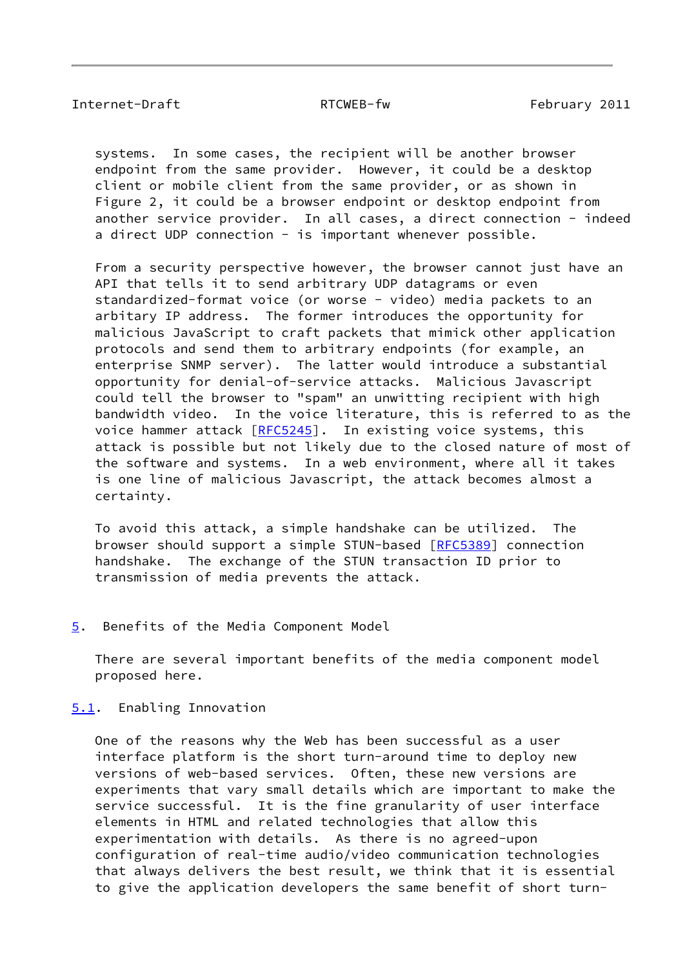<span id="page-9-1"></span> systems. In some cases, the recipient will be another browser endpoint from the same provider. However, it could be a desktop client or mobile client from the same provider, or as shown in Figure 2, it could be a browser endpoint or desktop endpoint from another service provider. In all cases, a direct connection - indeed a direct UDP connection - is important whenever possible.

 From a security perspective however, the browser cannot just have an API that tells it to send arbitrary UDP datagrams or even standardized-format voice (or worse - video) media packets to an arbitary IP address. The former introduces the opportunity for malicious JavaScript to craft packets that mimick other application protocols and send them to arbitrary endpoints (for example, an enterprise SNMP server). The latter would introduce a substantial opportunity for denial-of-service attacks. Malicious Javascript could tell the browser to "spam" an unwitting recipient with high bandwidth video. In the voice literature, this is referred to as the voice hammer attack [\[RFC5245](https://datatracker.ietf.org/doc/pdf/rfc5245)]. In existing voice systems, this attack is possible but not likely due to the closed nature of most of the software and systems. In a web environment, where all it takes is one line of malicious Javascript, the attack becomes almost a certainty.

 To avoid this attack, a simple handshake can be utilized. The browser should support a simple STUN-based [[RFC5389\]](https://datatracker.ietf.org/doc/pdf/rfc5389) connection handshake. The exchange of the STUN transaction ID prior to transmission of media prevents the attack.

<span id="page-9-0"></span>[5](#page-9-0). Benefits of the Media Component Model

 There are several important benefits of the media component model proposed here.

<span id="page-9-2"></span>[5.1](#page-9-2). Enabling Innovation

 One of the reasons why the Web has been successful as a user interface platform is the short turn-around time to deploy new versions of web-based services. Often, these new versions are experiments that vary small details which are important to make the service successful. It is the fine granularity of user interface elements in HTML and related technologies that allow this experimentation with details. As there is no agreed-upon configuration of real-time audio/video communication technologies that always delivers the best result, we think that it is essential to give the application developers the same benefit of short turn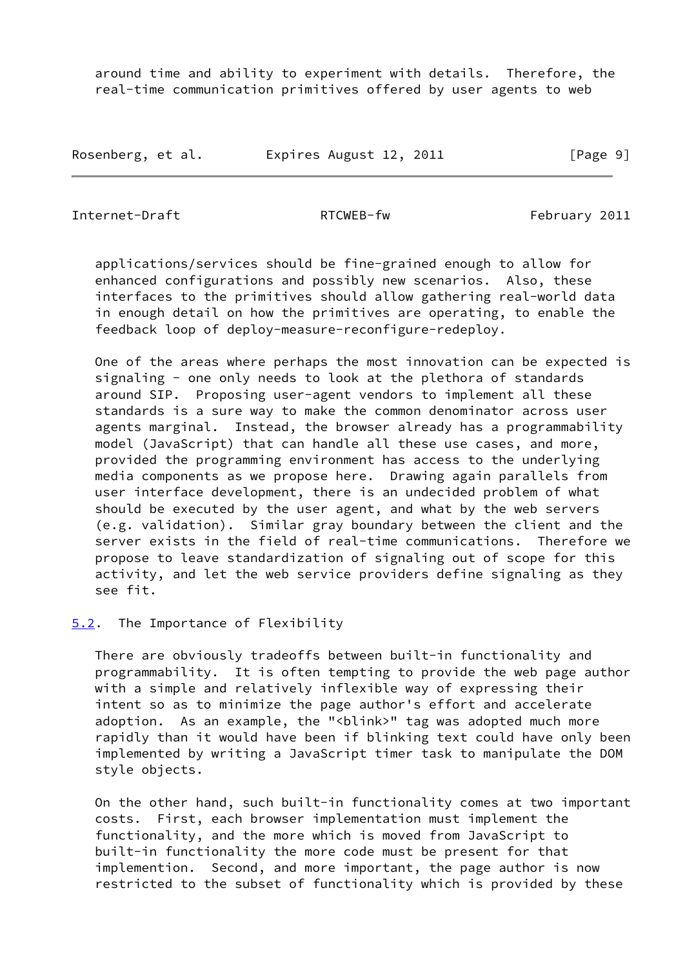around time and ability to experiment with details. Therefore, the real-time communication primitives offered by user agents to web

| Rosenberg, et al. | Expires August 12, 2011 | [Page 9] |
|-------------------|-------------------------|----------|
|-------------------|-------------------------|----------|

<span id="page-10-1"></span>Internet-Draft RTCWEB-fw February 2011

 applications/services should be fine-grained enough to allow for enhanced configurations and possibly new scenarios. Also, these interfaces to the primitives should allow gathering real-world data in enough detail on how the primitives are operating, to enable the feedback loop of deploy-measure-reconfigure-redeploy.

 One of the areas where perhaps the most innovation can be expected is signaling - one only needs to look at the plethora of standards around SIP. Proposing user-agent vendors to implement all these standards is a sure way to make the common denominator across user agents marginal. Instead, the browser already has a programmability model (JavaScript) that can handle all these use cases, and more, provided the programming environment has access to the underlying media components as we propose here. Drawing again parallels from user interface development, there is an undecided problem of what should be executed by the user agent, and what by the web servers (e.g. validation). Similar gray boundary between the client and the server exists in the field of real-time communications. Therefore we propose to leave standardization of signaling out of scope for this activity, and let the web service providers define signaling as they see fit.

<span id="page-10-0"></span>[5.2](#page-10-0). The Importance of Flexibility

 There are obviously tradeoffs between built-in functionality and programmability. It is often tempting to provide the web page author with a simple and relatively inflexible way of expressing their intent so as to minimize the page author's effort and accelerate adoption. As an example, the "<blink>" tag was adopted much more rapidly than it would have been if blinking text could have only been implemented by writing a JavaScript timer task to manipulate the DOM style objects.

 On the other hand, such built-in functionality comes at two important costs. First, each browser implementation must implement the functionality, and the more which is moved from JavaScript to built-in functionality the more code must be present for that implemention. Second, and more important, the page author is now restricted to the subset of functionality which is provided by these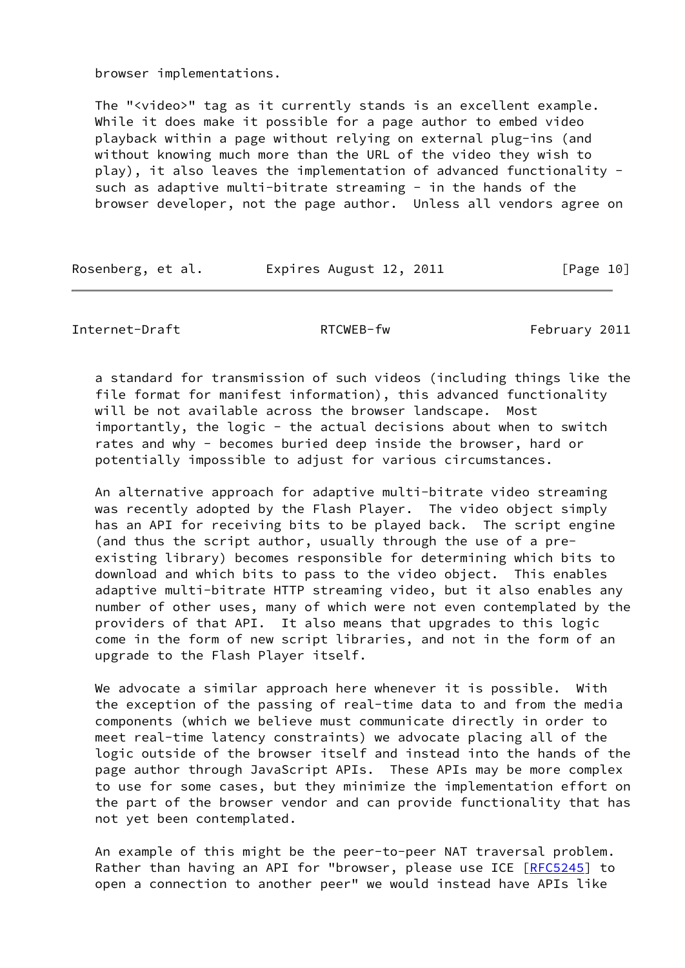browser implementations.

 The "<video>" tag as it currently stands is an excellent example. While it does make it possible for a page author to embed video playback within a page without relying on external plug-ins (and without knowing much more than the URL of the video they wish to play), it also leaves the implementation of advanced functionality such as adaptive multi-bitrate streaming - in the hands of the browser developer, not the page author. Unless all vendors agree on

Rosenberg, et al. Expires August 12, 2011 [Page 10]

<span id="page-11-0"></span>Internet-Draft RTCWEB-fw RTCWEB-fw February 2011

 a standard for transmission of such videos (including things like the file format for manifest information), this advanced functionality will be not available across the browser landscape. Most importantly, the logic - the actual decisions about when to switch rates and why - becomes buried deep inside the browser, hard or potentially impossible to adjust for various circumstances.

 An alternative approach for adaptive multi-bitrate video streaming was recently adopted by the Flash Player. The video object simply has an API for receiving bits to be played back. The script engine (and thus the script author, usually through the use of a pre existing library) becomes responsible for determining which bits to download and which bits to pass to the video object. This enables adaptive multi-bitrate HTTP streaming video, but it also enables any number of other uses, many of which were not even contemplated by the providers of that API. It also means that upgrades to this logic come in the form of new script libraries, and not in the form of an upgrade to the Flash Player itself.

We advocate a similar approach here whenever it is possible. With the exception of the passing of real-time data to and from the media components (which we believe must communicate directly in order to meet real-time latency constraints) we advocate placing all of the logic outside of the browser itself and instead into the hands of the page author through JavaScript APIs. These APIs may be more complex to use for some cases, but they minimize the implementation effort on the part of the browser vendor and can provide functionality that has not yet been contemplated.

 An example of this might be the peer-to-peer NAT traversal problem. Rather than having an API for "browser, please use ICE [\[RFC5245](https://datatracker.ietf.org/doc/pdf/rfc5245)] to open a connection to another peer" we would instead have APIs like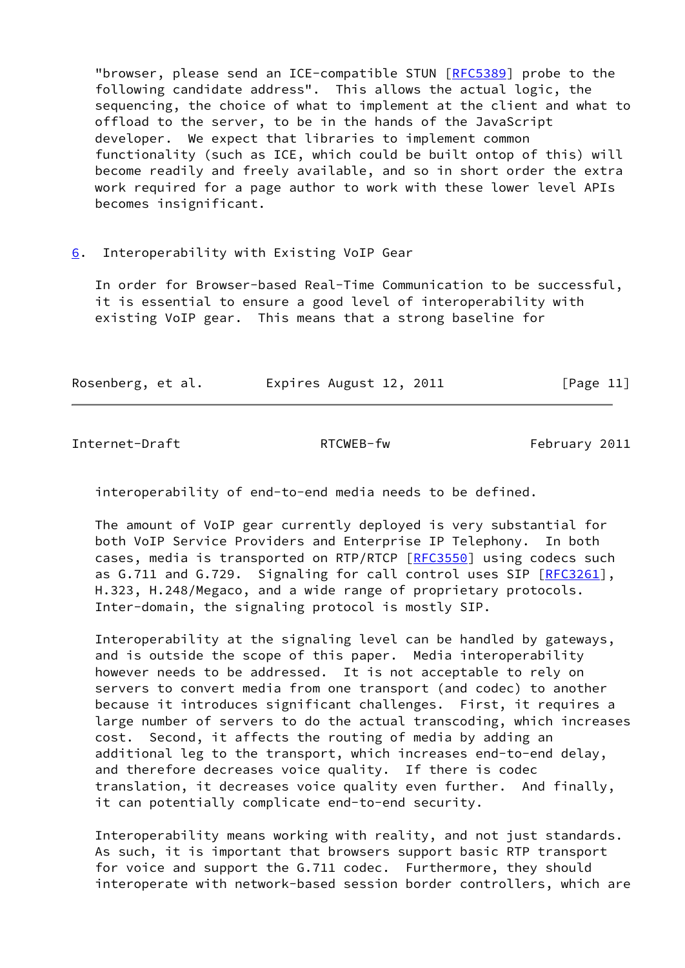"browser, please send an ICE-compatible STUN [\[RFC5389](https://datatracker.ietf.org/doc/pdf/rfc5389)] probe to the following candidate address". This allows the actual logic, the sequencing, the choice of what to implement at the client and what to offload to the server, to be in the hands of the JavaScript developer. We expect that libraries to implement common functionality (such as ICE, which could be built ontop of this) will become readily and freely available, and so in short order the extra work required for a page author to work with these lower level APIs becomes insignificant.

# <span id="page-12-0"></span>[6](#page-12-0). Interoperability with Existing VoIP Gear

 In order for Browser-based Real-Time Communication to be successful, it is essential to ensure a good level of interoperability with existing VoIP gear. This means that a strong baseline for

| Rosenberg, et al. | Expires August 12, 2011 | [Page 11] |
|-------------------|-------------------------|-----------|
|                   |                         |           |

<span id="page-12-1"></span>Internet-Draft RTCWEB-fw RTCWEB-fw February 2011

interoperability of end-to-end media needs to be defined.

 The amount of VoIP gear currently deployed is very substantial for both VoIP Service Providers and Enterprise IP Telephony. In both cases, media is transported on RTP/RTCP [\[RFC3550](https://datatracker.ietf.org/doc/pdf/rfc3550)] using codecs such as G.711 and G.729. Signaling for call control uses SIP [\[RFC3261](https://datatracker.ietf.org/doc/pdf/rfc3261)], H.323, H.248/Megaco, and a wide range of proprietary protocols. Inter-domain, the signaling protocol is mostly SIP.

 Interoperability at the signaling level can be handled by gateways, and is outside the scope of this paper. Media interoperability however needs to be addressed. It is not acceptable to rely on servers to convert media from one transport (and codec) to another because it introduces significant challenges. First, it requires a large number of servers to do the actual transcoding, which increases cost. Second, it affects the routing of media by adding an additional leg to the transport, which increases end-to-end delay, and therefore decreases voice quality. If there is codec translation, it decreases voice quality even further. And finally, it can potentially complicate end-to-end security.

 Interoperability means working with reality, and not just standards. As such, it is important that browsers support basic RTP transport for voice and support the G.711 codec. Furthermore, they should interoperate with network-based session border controllers, which are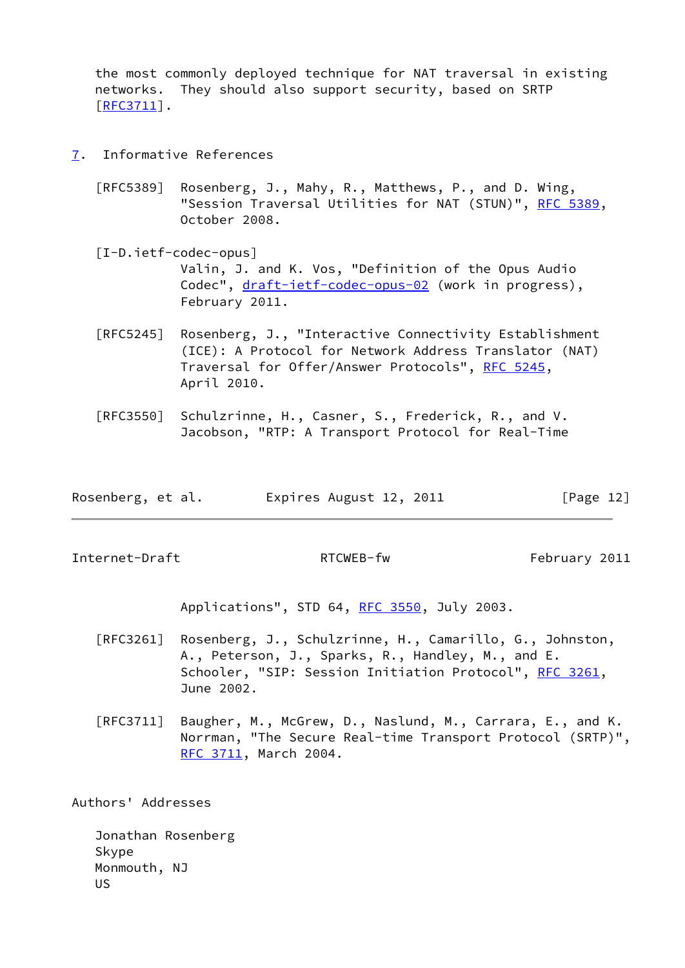the most commonly deployed technique for NAT traversal in existing networks. They should also support security, based on SRTP [\[RFC3711](https://datatracker.ietf.org/doc/pdf/rfc3711)].

- <span id="page-13-2"></span><span id="page-13-0"></span>[7](#page-13-0). Informative References
	- [RFC5389] Rosenberg, J., Mahy, R., Matthews, P., and D. Wing, "Session Traversal Utilities for NAT (STUN)", [RFC 5389](https://datatracker.ietf.org/doc/pdf/rfc5389), October 2008.
	- [I-D.ietf-codec-opus] Valin, J. and K. Vos, "Definition of the Opus Audio Codec", [draft-ietf-codec-opus-02](https://datatracker.ietf.org/doc/pdf/draft-ietf-codec-opus-02) (work in progress), February 2011.
	- [RFC5245] Rosenberg, J., "Interactive Connectivity Establishment (ICE): A Protocol for Network Address Translator (NAT) Traversal for Offer/Answer Protocols", [RFC 5245](https://datatracker.ietf.org/doc/pdf/rfc5245), April 2010.
	- [RFC3550] Schulzrinne, H., Casner, S., Frederick, R., and V. Jacobson, "RTP: A Transport Protocol for Real-Time

| Rosenberg, et al. | Expires August 12, 2011 | [Page 12] |
|-------------------|-------------------------|-----------|
|-------------------|-------------------------|-----------|

<span id="page-13-1"></span>Internet-Draft RTCWEB-fw RTCWEB-fw February 2011

Applications", STD 64, [RFC 3550](https://datatracker.ietf.org/doc/pdf/rfc3550), July 2003.

- [RFC3261] Rosenberg, J., Schulzrinne, H., Camarillo, G., Johnston, A., Peterson, J., Sparks, R., Handley, M., and E. Schooler, "SIP: Session Initiation Protocol", [RFC 3261](https://datatracker.ietf.org/doc/pdf/rfc3261), June 2002.
- [RFC3711] Baugher, M., McGrew, D., Naslund, M., Carrara, E., and K. Norrman, "The Secure Real-time Transport Protocol (SRTP)", [RFC 3711,](https://datatracker.ietf.org/doc/pdf/rfc3711) March 2004.

Authors' Addresses

 Jonathan Rosenberg Skype Monmouth, NJ US